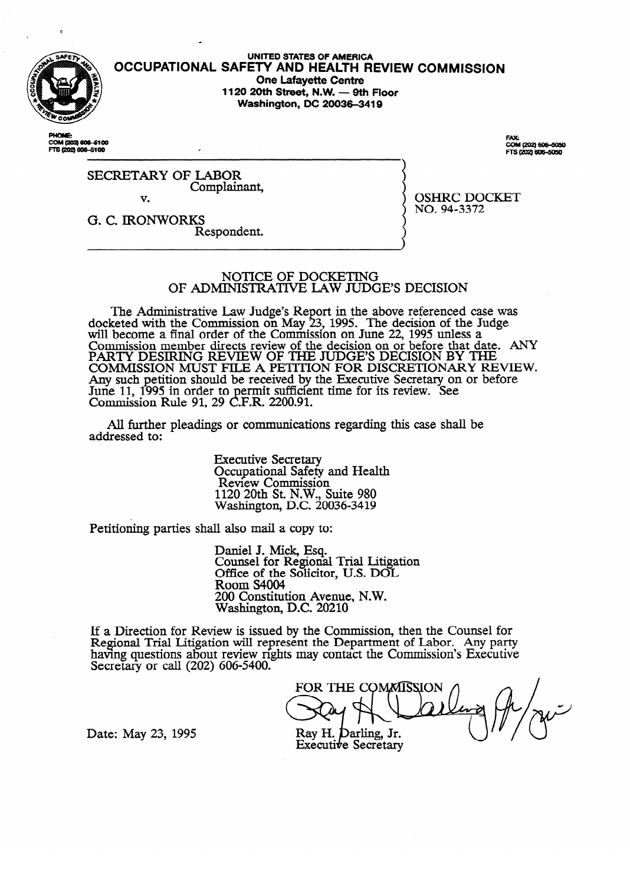

UNITED STATES OF AMERICA **OCCUPATIONAL SAFETY AND HEALTH REVIEW COMMISSION One Lafayette Centre<br>1120 20th Street, N.W. — 9th Floor 1120 20th Street, N.W. - 9th Floor Washington, DC 2003643419** 

COM (202) 606-5100 FTS (202) 606-5100

OM (202) 606-5050 \$12021606-5050

SECRETARY OF LABOR Complainant, v.

v. G. C. IRONWORKS Respondent.

OSHRC DOCKET<br>NO. 94-3372

 $\frac{1}{2}$ 

#### NOTICE OF DOCKETING OF ADMINISTRATIVE LAW JUDGE'S DECISION

The Administrative Law Judge's Report in the above referenced case was Reted with the Commission on May 23, 1995. The decision of the Judge's  $\frac{1}{2}$ will become a final order of the Commission on June 22, 1995 unless a<br>Commission mamber directs review of the decision on ar before that data COMMISSION MEMBER directs feview of the decision on or before that day<br>DA DTV DESIDING DEVIEW OF THE HIDGE'S DECISION BY TH PART I DESIRING REVIEW OF THE JUDGE'S DECISION BY THE TONING REVIEW THAT DETERMING THAT DETERMING THAT DATE. AN COMMISSION MUST FILE A PETITION FOR DISCRETIONART REVIEW OF THE JUDGE AND THE GROUP OF THE CONTRACT OF THE CONTRACT OF THE CONTRACT OF THE CONTRACT OF THE CONTRACT OF THE CONTRACT OF THE CONTRACT OF THE CONTRACT OF THE CON Any such peution should be received by the Executive Secretary on or before<br>June 11, 1005 in order to permit sufficient time for its review. See June 11, 1993 in order to permit sunficient time for its review. See<br>Commission Rule 91 29 C F R 2200 91 COMMISSION NUIT 91, 29 C.F.N.  $2200.91$ .

All further pleadings or communications regarding this case shall be  $A$  further pleading or communications regarding the shah behalf behalf behalf behalf behalf behalf behalf behalf behalf behalf behalf behalf behalf behalf behalf behalf behalf behalf behalf behalf behalf behalf behalf be

> **Executive Secretary** Occupational Safety and Health<br>Review Commission  $1120$  20th St. N.W., Suite 980 Nashington, D.C. 200  $11220$   $204$   $301$   $301$   $301$

Petitioning parties shall also mail a copy to:

Paniel J. Mick, Esq. Office of the Solicito Room S4004 200 Constitution Avenue, N.W. Washington, D.C. 20210

 $2000$  Constitution Avenue, N.W.  $\frac{1}{2}$  issued by the Com having questions about review rights may contact the Commission's Executive Secretary or call  $(202)$  606-5400.

FOR THE COMMISSION Ray H. Darling, Jr.

Date: May 23, 1995

Executive Secretary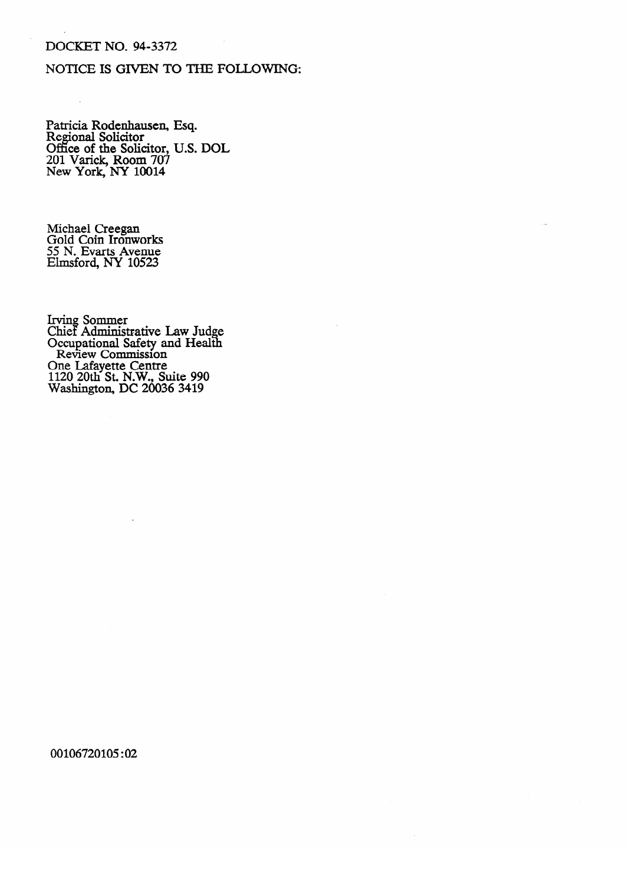# DOCKET NO. 94-3372

# NOTICE IS GIVEN TO THE FOLLOWING:

rumen Rodenhausen,<br>Regional Solicitor Office of the Solicitor. 201 Varick, Room 707 **New York, NY 10014** New York, NY 10014 esq. **U.S. DOL** 

Michael Creegan<br>Gold Coin Ironworks 55 N. Evarts Avenue Elmsford, NY 10523

Cillet Administ<br>Occupational S Occupational Safety and Health<br>Review Commission Review Commission<br>One I afavette Centre rie Laiayette Cellife<br>120 20th St. N.W. St  $\frac{120}{200}$  Cu<sub>n</sub> C<sub>entre</sub> Centre Centre Centre Centre Centre Centre Centre Centre Centre Centre Centre Centre Centre Centre Centre Centre Centre Centre Centre Centre Centre Centre Centre Centre Centre Centre Centre Cen  $\frac{1}{2}$  1120  $\frac{1}{2}$  2000  $\frac{1}{2}$ 

# 00106720105:02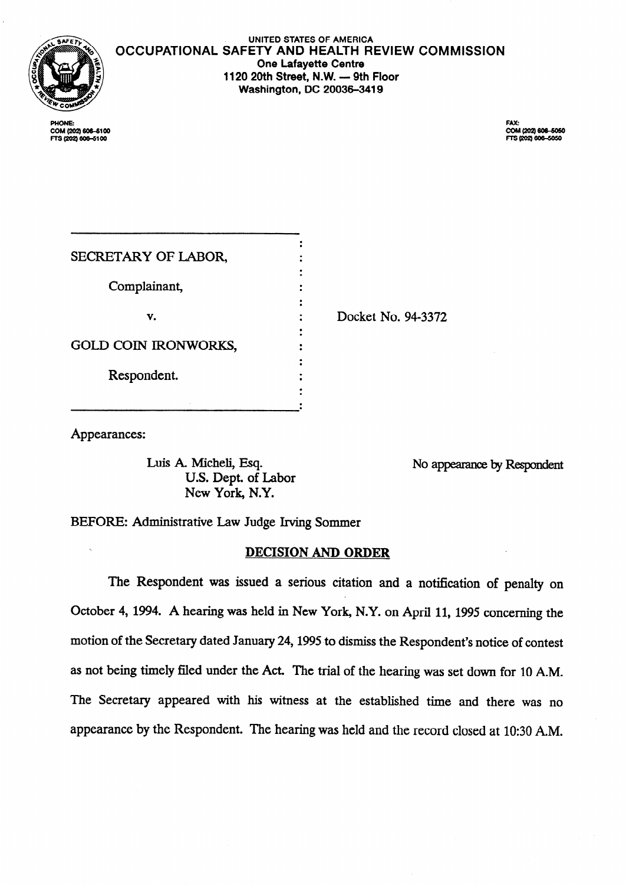

**OCCUPATIONAL SAFETY AND HEALTH REVIEW COMMISSION UNITED STATES OF AMERICA One Lafayette Centre**  1120 20th Street, N.W. - 9th Floor **Washington, DC 20036-3419** 

COM (202) 606-6100 FTS (202) 606-5100

COM (202) 606-5050 FTS (202) 606-5050

Docket No. 94-3372

Appearances:

U.S. Dept. of Labor New York, N.Y.

Luis A. Micheli, Esq. No appearance by Respondent

BEFORE: Administrative Law Judge Irving Sommer

# <sup>7</sup>DECISION AND ORDER

The Respondent was issued a serious citation and a notification of penalty on October 4, 1994. A hearing was held in New York, N.Y. on April 11, 1995 concerning the motion of the Secretary dated January 24,1995to dismiss the Respondent's notice of contest as not being timely filed under the Act. The trial of the hearing was set down for 10 A.M. The Secretary appeared with his witness at the established time and there was no appearance by the Respondent. The hearing was held and the record closed at lo:30 A.M.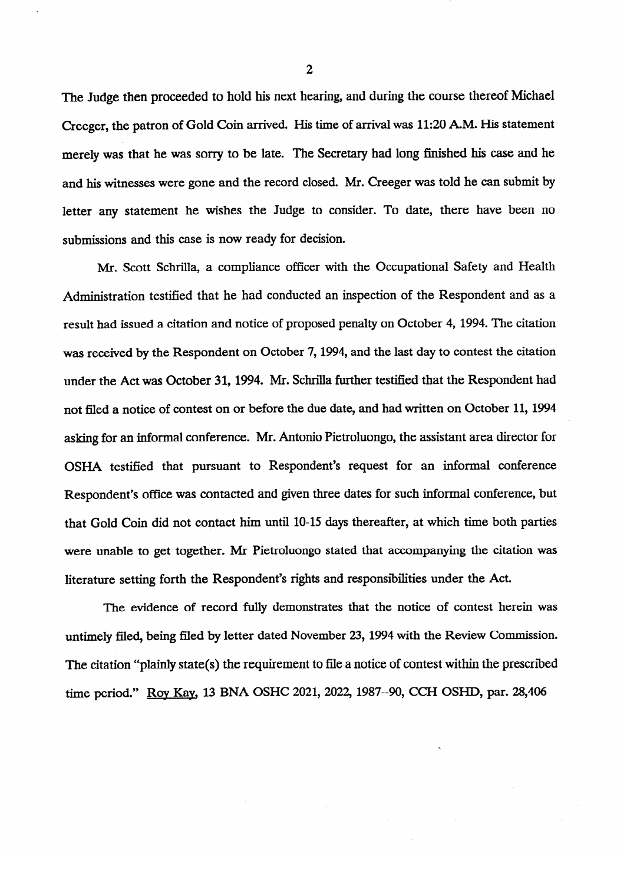The Judge then proceeded to hold his next hearing, and during the course thereof Michael Creeger, the patron of Gold Coin arrived. His time of arrival was 11:20 A.M. His statement merely was that he was sorry to be late. The Secretary had long finished his case and he and his witnesses were gone and the record closed. Mr. Creeger was told he can submit by letter any statement he wishes the Judge to consider. To date, there have been no submissions and this case is now ready for decision.

Mr. Scott Schrilla, a compliance officer with the Occupational Safety and Health Mr. Scott Schrilla, a compliance officer with the Occupational Safety and Health Administration testified that he had conducted an inspection of the Respondent and as a result had issued a citation and notice of proposed penalty on October 4, 1994. The citation was received by the Respondent on October 7, 1994, and the last day to contest the citation under the Act was October 31, 1994. Mr. Schrilla further testified that the Respondent had not filed a notice of contest on or before the due date, and had written on October 11, 1994 asking for an informal conference. Mr. Antonio Pietroluongo, the assistant area director for OSHA testified that pursuant to Respondent's request for an informal conference Respondent's office was contacted and given three dates for such informal conference, but that Gold Coin did not contact him until 10-15 days thereafter, at which time both parties were unable to get together. Mr Pietroluongo stated that accompanying the citation was literature setting forth the Respondent's rights and responsibilities under the Act.

The evidence of record fully demonstrates that the notice of contest herein was untimely filed, being filed by letter dated November 23, 1994 with the Review Commission. The citation "plainly state(s) the requirement to file a notice of contest within the prescribed time period." Roy Kay, 13 BNA OSHC 2021, 2022, 1987--90, CCH OSHD, par. 28,406

2